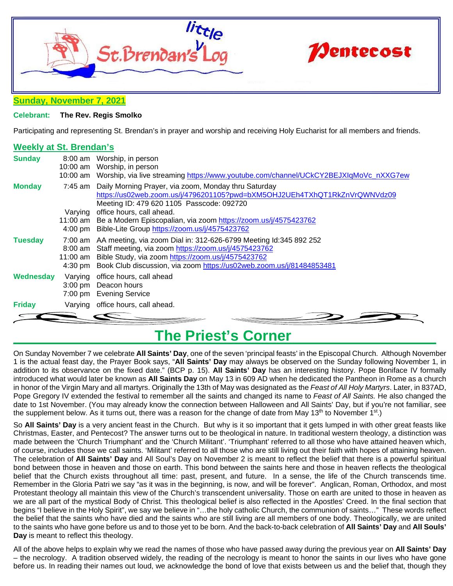



#### **Sunday, November 7, 2021**

#### **Celebrant: The Rev. Regis Smolko**

Participating and representing St. Brendan's in prayer and worship and receiving Holy Eucharist for all members and friends.

#### **Weekly at St. Brendan's**

| <b>Sunday</b>  |                   | 8:00 am Worship, in person<br>10:00 am Worship, in person<br>10:00 am Worship, via live streaming https://www.youtube.com/channel/UCkCY2BEJXIgMoVc nXXG7ew                                                                                                                               |
|----------------|-------------------|------------------------------------------------------------------------------------------------------------------------------------------------------------------------------------------------------------------------------------------------------------------------------------------|
| <b>Monday</b>  |                   | 7:45 am Daily Morning Prayer, via zoom, Monday thru Saturday<br>https://us02web.zoom.us/j/4796201105?pwd=bXM5OHJ2UEh4TXhQT1RkZnVrQWNVdz09<br>Meeting ID: 479 620 1105 Passcode: 092720                                                                                                   |
|                | Varying           | office hours, call ahead.<br>11:00 am Be a Modern Episcopalian, via zoom https://zoom.us/j/4575423762<br>4:00 pm Bible-Lite Group https://zoom.us/j/4575423762                                                                                                                           |
| <b>Tuesday</b> |                   | 7:00 am AA meeting, via zoom Dial in: 312-626-6799 Meeting Id:345 892 252<br>8:00 am Staff meeting, via zoom https://zoom.us/j/4575423762<br>11:00 am Bible Study, via zoom https://zoom.us/j/4575423762<br>4:30 pm Book Club discussion, via zoom https://us02web.zoom.us/j/81484853481 |
| Wednesday      | $3:00 \text{ pm}$ | Varying office hours, call ahead<br>Deacon hours<br>7:00 pm Evening Service                                                                                                                                                                                                              |
| <b>Friday</b>  |                   | Varying office hours, call ahead.                                                                                                                                                                                                                                                        |
|                |                   |                                                                                                                                                                                                                                                                                          |

### **The Priest's Corner**

On Sunday November 7 we celebrate **All Saints' Day**, one of the seven 'principal feasts' in the Episcopal Church. Although November 1 is the actual feast day, the Prayer Book says, "**All Saints' Day** may always be observed on the Sunday following November 1, in addition to its observance on the fixed date." (BCP p. 15). **All Saints' Day** has an interesting history. Pope Boniface IV formally introduced what would later be known as **All Saints Day** on May 13 in 609 AD when he dedicated the Pantheon in Rome as a church in honor of the Virgin Mary and all martyrs. Originally the 13th of May was designated as the *Feast of All Holy Martyrs*. Later, in 837AD, Pope Gregory IV extended the festival to remember all the saints and changed its name to *Feast of All Saints.* He also changed the date to 1st November. (You may already know the connection between Halloween and All Saints' Day, but if you're not familiar, see the supplement below. As it turns out, there was a reason for the change of date from May 13<sup>th</sup> to November 1<sup>st</sup>.)

So **All Saints' Day** is a very ancient feast in the Church. But why is it so important that it gets lumped in with other great feasts like Christmas, Easter, and Pentecost? The answer turns out to be theological in nature. In traditional western theology, a distinction was made between the 'Church Triumphant' and the 'Church Militant'. 'Triumphant' referred to all those who have attained heaven which, of course, includes those we call saints. 'Militant' referred to all those who are still living out their faith with hopes of attaining heaven. The celebration of **All Saints' Day** and All Soul's Day on November 2 is meant to reflect the belief that there is a powerful spiritual bond between those in heaven and those on earth. This bond between the saints here and those in heaven reflects the theological belief that the Church exists throughout all time: past, present, and future. In a sense, the life of the Church transcends time. Remember in the Gloria Patri we say "as it was in the beginning, is now, and will be forever". Anglican, Roman, Orthodox, and most Protestant theology all maintain this view of the Church's transcendent universality. Those on earth are united to those in heaven as we are all part of the mystical Body of Christ. This theological belief is also reflected in the Apostles' Creed. In the final section that begins "I believe in the Holy Spirit", we say we believe in "…the holy catholic Church, the communion of saints…" These words reflect the belief that the saints who have died and the saints who are still living are all members of one body. Theologically, we are united to the saints who have gone before us and to those yet to be born. And the back-to-back celebration of **All Saints' Day** and **All Souls' Day** is meant to reflect this theology.

All of the above helps to explain why we read the names of those who have passed away during the previous year on **All Saints' Day**  – the necrology. A tradition observed widely, the reading of the necrology is meant to honor the saints in our lives who have gone before us. In reading their names out loud, we acknowledge the bond of love that exists between us and the belief that, though they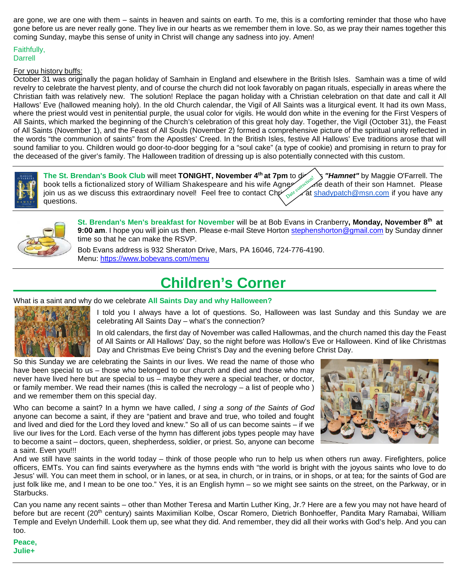are gone, we are one with them – saints in heaven and saints on earth. To me, this is a comforting reminder that those who have gone before us are never really gone. They live in our hearts as we remember them in love. So, as we pray their names together this coming Sunday, maybe this sense of unity in Christ will change any sadness into joy. Amen!

#### Faithfully, Darrell

#### For you history buffs:

October 31 was originally the pagan holiday of Samhain in England and elsewhere in the British Isles. Samhain was a time of wild revelry to celebrate the harvest plenty, and of course the church did not look favorably on pagan rituals, especially in areas where the Christian faith was relatively new. The solution! Replace the pagan holiday with a Christian celebration on that date and call it All Hallows' Eve (hallowed meaning holy). In the old Church calendar, the Vigil of All Saints was a liturgical event. It had its own Mass, where the priest would vest in penitential purple, the usual color for vigils. He would don white in the evening for the First Vespers of All Saints, which marked the beginning of the Church's celebration of this great holy day. Together, the Vigil (October 31), the Feast of All Saints (November 1), and the Feast of All Souls (November 2) formed a comprehensive picture of the spiritual unity reflected in the words "the communion of saints" from the Apostles' Creed. In the British Isles, festive All Hallows' Eve traditions arose that will sound familiar to you. Children would go door-to-door begging for a "soul cake" (a type of cookie) and promising in return to pray for the deceased of the giver's family. The Halloween tradition of dressing up is also potentially connected with this custom.





**St. Brendan's Men's breakfast for November** will be at Bob Evans in Cranberry**, Monday, November 8th at**  9:00 am. I hope you will join us then. Please e-mail Steve Horto[n stephenshorton@gmail.com](mailto:stephenshorton@gmail.com) by Sunday dinner time so that he can make the RSVP.

Bob Evans address is 932 Sheraton Drive, Mars, PA 16046, 724-776-4190. Menu:<https://www.bobevans.com/menu>

## **Children's Corner**

What is a saint and why do we celebrate **All Saints Day and why Halloween?**



I told you I always have a lot of questions. So, Halloween was last Sunday and this Sunday we are celebrating All Saints Day – what's the connection?

In old calendars, the first day of November was called Hallowmas, and the church named this day the Feast of All Saints or All Hallows' Day, so the night before was Hollow's Eve or Halloween. Kind of like Christmas Day and Christmas Eve being Christ's Day and the evening before Christ Day.

So this Sunday we are celebrating the Saints in our lives. We read the name of those who have been special to us – those who belonged to our church and died and those who may never have lived here but are special to us – maybe they were a special teacher, or doctor, or family member. We read their names (this is called the necrology – a list of people who ) and we remember them on this special day.

Who can become a saint? In a hymn we have called, *I sing a song of the Saints of God* anyone can become a saint, if they are "patient and brave and true, who toiled and fought and lived and died for the Lord they loved and knew." So all of us can become saints – if we live our lives for the Lord. Each verse of the hymn has different jobs types people may have to become a saint – doctors, queen, shepherdess, soldier, or priest. So, anyone can become a saint. Even you!!!



And we still have saints in the world today – think of those people who run to help us when others run away. Firefighters, police officers, EMTs. You can find saints everywhere as the hymns ends with "the world is bright with the joyous saints who love to do Jesus' will. You can meet them in school, or in lanes, or at sea, in church, or in trains, or in shops, or at tea; for the saints of God are just folk like me, and I mean to be one too." Yes, it is an English hymn – so we might see saints on the street, on the Parkway, or in Starbucks.

Can you name any recent saints – other than Mother Teresa and Martin Luther King, Jr.? Here are a few you may not have heard of before but are recent (20<sup>th</sup> century) saints Maximilian Kolbe, Oscar Romero, Dietrich Bonhoeffer, Pandita Mary Ramabai, William Temple and Evelyn Underhill. Look them up, see what they did. And remember, they did all their works with God's help. And you can too.

**Peace, Julie+**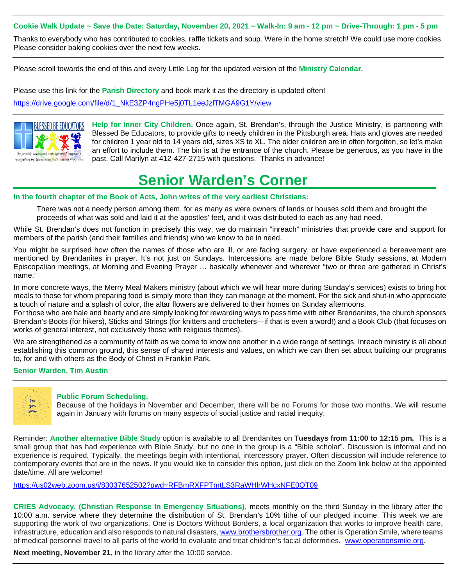#### **Cookie Walk Update ~ Save the Date: Saturday, November 20, 2021 ~ Walk-In: 9 am - 12 pm ~ Drive-Through: 1 pm - 5 pm**

Thanks to everybody who has contributed to cookies, raffle tickets and soup. Were in the home stretch! We could use more cookies. Please consider baking cookies over the next few weeks.

Please scroll towards the end of this and every Little Log for the updated version of the **Ministry Calendar**.

Please use this link for the **Parish Directory** and book mark it as the directory is updated often!

[https://drive.google.com/file/d/1\\_NkE3ZP4ngPHe5j0TL1eeJzlTMGA9G1Y/view](https://drive.google.com/file/d/1_NkE3ZP4ngPHe5j0TL1eeJzlTMGA9G1Y/view)



**Help for Inner City Children.** Once again, St. Brendan's, through the Justice Ministry, is partnering with Blessed Be Educators, to provide gifts to needy children in the Pittsburgh area. Hats and gloves are needed for children 1 year old to 14 years old, sizes XS to XL. The older children are in often forgotten, so let's make an effort to include them. The bin is at the entrance of the church. Please be generous, as you have in the past. Call Marilyn at 412-427-2715 with questions. Thanks in advance!

# **Senior Warden's Corner**

#### **In the fourth chapter of the Book of Acts, John writes of the very earliest Christians:**

There was not a needy person among them, for as many as were owners of lands or houses sold them and brought the proceeds of what was sold and laid it at the apostles' feet, and it was distributed to each as any had need.

While St. Brendan's does not function in precisely this way, we do maintain "inreach" ministries that provide care and support for members of the parish (and their families and friends) who we know to be in need.

You might be surprised how often the names of those who are ill, or are facing surgery, or have experienced a bereavement are mentioned by Brendanites in prayer. It's not just on Sundays. Intercessions are made before Bible Study sessions, at Modern Episcopalian meetings, at Morning and Evening Prayer … basically whenever and wherever "two or three are gathered in Christ's name."

In more concrete ways, the Merry Meal Makers ministry (about which we will hear more during Sunday's services) exists to bring hot meals to those for whom preparing food is simply more than they can manage at the moment. For the sick and shut-in who appreciate a touch of nature and a splash of color, the altar flowers are delivered to their homes on Sunday afternoons.

For those who are hale and hearty and are simply looking for rewarding ways to pass time with other Brendanites, the church sponsors Brendan's Boots (for hikers), Sticks and Strings (for knitters and crocheters—if that is even a word!) and a Book Club (that focuses on works of general interest, not exclusively those with religious themes).

We are strengthened as a community of faith as we come to know one another in a wide range of settings. Inreach ministry is all about establishing this common ground, this sense of shared interests and values, on which we can then set about building our programs to, for and with others as the Body of Christ in Franklin Park.

#### **Senior Warden, Tim Austin**



#### **Public Forum Scheduling.**

Because of the holidays in November and December, there will be no Forums for those two months. We will resume again in January with forums on many aspects of social justice and racial inequity.

Reminder: **Another alternative Bible Study** option is available to all Brendanites on **Tuesdays from 11:00 to 12:15 pm.** This is a small group that has had experience with Bible Study, but no one in the group is a "Bible scholar". Discussion is informal and no experience is required. Typically, the meetings begin with intentional, intercessory prayer. Often discussion will include reference to contemporary events that are in the news. If you would like to consider this option, just click on the Zoom link below at the appointed date/time. All are welcome!

<https://us02web.zoom.us/j/83037652502?pwd=RFBmRXFPTmtLS3RaWHlrWHcxNFE0QT09>

**CRIES Advocacy, (Christian Response In Emergency Situations),** meets monthly on the third Sunday in the library after the 10:00 a.m. service where they determine the distribution of St. Brendan's 10% tithe of our pledged income. This week we are supporting the work of two organizations. One is Doctors Without Borders, a local organization that works to improve health care, infrastructure, education and also responds to natural disasters[, www.brothersbrother.org.](http://www.brothersbrother.org/) The other is Operation Smile, where teams of medical personnel travel to all parts of the world to evaluate and treat children's facial deformities. [www.operationsmile.org.](http://www.operationsmile.org/)

**Next meeting, November 21**, in the library after the 10:00 service.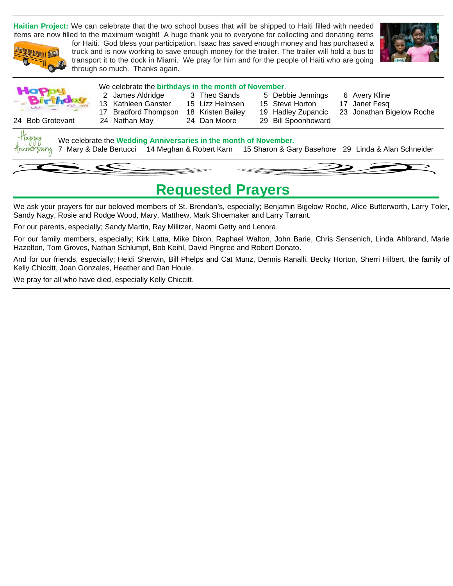**Haitian Project:** We can celebrate that the two school buses that will be shipped to Haiti filled with needed items are now filled to the maximum weight! A huge thank you to everyone for collecting and donating items



for Haiti. God bless your participation. Isaac has saved enough money and has purchased a truck and is now working to save enough money for the trailer. The trailer will hold a bus to transport it to the dock in Miami. We pray for him and for the people of Haiti who are going through so much. Thanks again.





#### We celebrate the **birthdays in the month of November**.

- - 13 Kathleen Ganster 15 Lizz Helmsen 15 Steve Horton 17 Janet Fesq
		- - -
- 
- 2 James Aldridge 3 Theo Sands 5 Debbie Jennings 6 Avery Kline
	-
- 17 Bradford Thompson 18 Kristen Bailey 19 Hadley Zupancic 23 Jonathan Bigelow Roche

24 Bob Grotevant 24 Nathan May 24 Dan Moore 29 Bill Spoonhoward

- 
- 
- -

Sar



### **Requested Prayers**

We ask your prayers for our beloved members of St. Brendan's, especially; Benjamin Bigelow Roche, Alice Butterworth, Larry Toler, Sandy Nagy, Rosie and Rodge Wood, Mary, Matthew, Mark Shoemaker and Larry Tarrant.

For our parents, especially; Sandy Martin, Ray Militzer, Naomi Getty and Lenora.

For our family members, especially; Kirk Latta, Mike Dixon, Raphael Walton, John Barie, Chris Sensenich, Linda Ahlbrand, Marie Hazelton, Tom Groves, Nathan Schlumpf, Bob Keihl, David Pingree and Robert Donato.

And for our friends, especially; Heidi Sherwin, Bill Phelps and Cat Munz, Dennis Ranalli, Becky Horton, Sherri Hilbert, the family of Kelly Chiccitt, Joan Gonzales, Heather and Dan Houle.

We pray for all who have died, especially Kelly Chiccitt.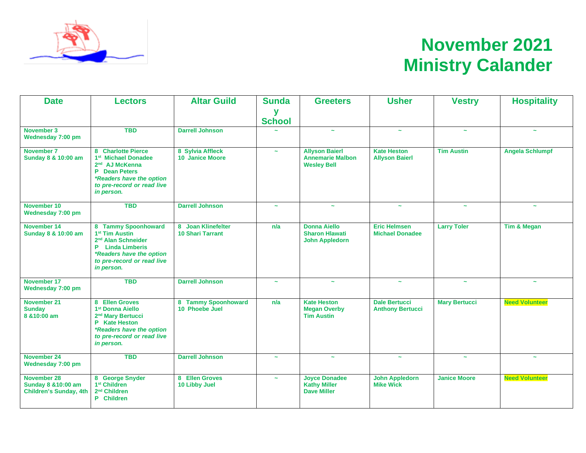

# **November 2021 Ministry Calander**

| <b>Date</b>                                                                                                                                                             | <b>Lectors</b>                                                                                                                                                                         | <b>Altar Guild</b>                            | <b>Sunda</b>          | <b>Greeters</b>                                                        | <b>Usher</b>                                    | <b>Vestry</b>         | <b>Hospitality</b>     |
|-------------------------------------------------------------------------------------------------------------------------------------------------------------------------|----------------------------------------------------------------------------------------------------------------------------------------------------------------------------------------|-----------------------------------------------|-----------------------|------------------------------------------------------------------------|-------------------------------------------------|-----------------------|------------------------|
|                                                                                                                                                                         |                                                                                                                                                                                        |                                               | y<br><b>School</b>    |                                                                        |                                                 |                       |                        |
| November 3<br>Wednesday 7:00 pm                                                                                                                                         | <b>TBD</b>                                                                                                                                                                             | <b>Darrell Johnson</b>                        |                       | $\tilde{\phantom{a}}$                                                  | $\tilde{\phantom{a}}$                           | $\sim$                | $\sim$                 |
| November 7<br>Sunday 8 & 10:00 am                                                                                                                                       | 8 Charlotte Pierce<br>1 <sup>st</sup> Michael Donadee<br>2 <sup>nd</sup> AJ McKenna<br><b>P</b> Dean Peters<br>*Readers have the option<br>to pre-record or read live<br>in person.    | 8 Sylvia Affleck<br><b>10 Janice Moore</b>    | $\sim$                | <b>Allyson Baierl</b><br><b>Annemarie Malbon</b><br><b>Wesley Bell</b> | <b>Kate Heston</b><br><b>Allyson Baierl</b>     | <b>Tim Austin</b>     | <b>Angela Schlumpf</b> |
| November 10<br>Wednesday 7:00 pm                                                                                                                                        | <b>TBD</b>                                                                                                                                                                             | <b>Darrell Johnson</b>                        | $\sim$                | $\tilde{\phantom{a}}$                                                  | $\tilde{\phantom{a}}$                           | $\sim$                | $\tilde{\phantom{a}}$  |
| November 14<br>Sunday 8 & 10:00 am                                                                                                                                      | 8 Tammy Spoonhoward<br>1 <sup>st</sup> Tim Austin<br>2 <sup>nd</sup> Alan Schneider<br><b>P</b> Linda Limberis<br>*Readers have the option<br>to pre-record or read live<br>in person. | 8 Joan Klinefelter<br><b>10 Shari Tarrant</b> | n/a                   | <b>Donna Aiello</b><br><b>Sharon Hlawati</b><br><b>John Appledorn</b>  | <b>Eric Helmsen</b><br><b>Michael Donadee</b>   | <b>Larry Toler</b>    | Tim & Megan            |
| November 17<br>Wednesday 7:00 pm                                                                                                                                        | <b>TBD</b>                                                                                                                                                                             | <b>Darrell Johnson</b>                        | $\sim$                | $\sim$                                                                 | $\tilde{\phantom{a}}$                           | $\sim$                | $\sim$                 |
| November 21<br><b>Sunday</b><br>8 & 10:00 am                                                                                                                            | 8 Ellen Groves<br>1 <sup>st</sup> Donna Aiello<br>2 <sup>nd</sup> Mary Bertucci<br>P Kate Heston<br>*Readers have the option<br>to pre-record or read live<br>in person.               |                                               | n/a                   | <b>Kate Heston</b><br><b>Megan Overby</b><br><b>Tim Austin</b>         | <b>Dale Bertucci</b><br><b>Anthony Bertucci</b> | <b>Mary Bertucci</b>  | <b>Need Volunteer</b>  |
| November 24<br>Wednesday 7:00 pm                                                                                                                                        | <b>TBD</b>                                                                                                                                                                             | <b>Darrell Johnson</b>                        | $\tilde{\phantom{a}}$ | $\tilde{\phantom{a}}$                                                  | $\tilde{\phantom{a}}$                           | $\tilde{\phantom{a}}$ | $\tilde{\phantom{a}}$  |
| November 28<br>8 George Snyder<br>1 <sup>st</sup> Children<br><b>Sunday 8 &amp; 10:00 am</b><br>2 <sup>nd</sup> Children<br><b>Children's Sunday, 4th</b><br>P Children |                                                                                                                                                                                        | 8 Ellen Groves<br>10 Libby Juel               | $\tilde{\phantom{a}}$ | <b>Joyce Donadee</b><br><b>Kathy Miller</b><br><b>Dave Miller</b>      | <b>John Appledorn</b><br><b>Mike Wick</b>       | <b>Janice Moore</b>   | <b>Need Volunteer</b>  |